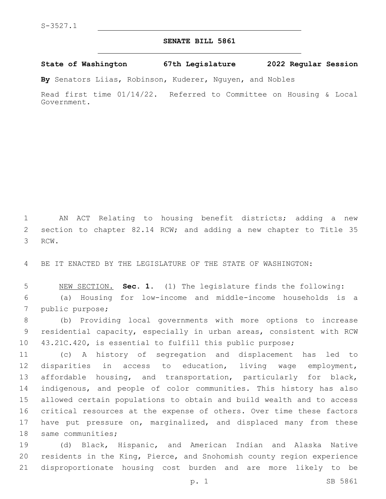## **SENATE BILL 5861**

**State of Washington 67th Legislature 2022 Regular Session**

**By** Senators Liias, Robinson, Kuderer, Nguyen, and Nobles

Read first time 01/14/22. Referred to Committee on Housing & Local Government.

 AN ACT Relating to housing benefit districts; adding a new section to chapter 82.14 RCW; and adding a new chapter to Title 35 3 RCW.

BE IT ENACTED BY THE LEGISLATURE OF THE STATE OF WASHINGTON:

 NEW SECTION. **Sec. 1.** (1) The legislature finds the following: (a) Housing for low-income and middle-income households is a 7 public purpose;

 (b) Providing local governments with more options to increase residential capacity, especially in urban areas, consistent with RCW 43.21C.420, is essential to fulfill this public purpose;

 (c) A history of segregation and displacement has led to disparities in access to education, living wage employment, affordable housing, and transportation, particularly for black, indigenous, and people of color communities. This history has also allowed certain populations to obtain and build wealth and to access critical resources at the expense of others. Over time these factors 17 have put pressure on, marginalized, and displaced many from these 18 same communities;

 (d) Black, Hispanic, and American Indian and Alaska Native residents in the King, Pierce, and Snohomish county region experience disproportionate housing cost burden and are more likely to be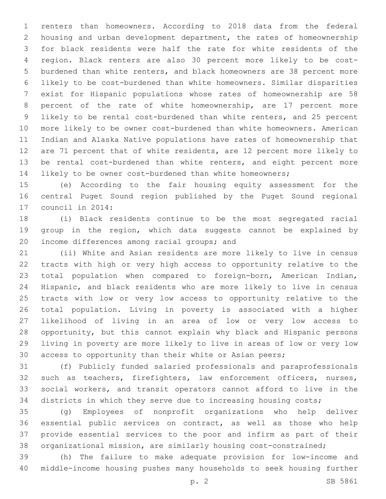renters than homeowners. According to 2018 data from the federal housing and urban development department, the rates of homeownership for black residents were half the rate for white residents of the region. Black renters are also 30 percent more likely to be cost- burdened than white renters, and black homeowners are 38 percent more likely to be cost-burdened than white homeowners. Similar disparities exist for Hispanic populations whose rates of homeownership are 58 percent of the rate of white homeownership, are 17 percent more likely to be rental cost-burdened than white renters, and 25 percent more likely to be owner cost-burdened than white homeowners. American Indian and Alaska Native populations have rates of homeownership that are 71 percent that of white residents, are 12 percent more likely to be rental cost-burdened than white renters, and eight percent more likely to be owner cost-burdened than white homeowners;

 (e) According to the fair housing equity assessment for the central Puget Sound region published by the Puget Sound regional 17 council in 2014:

 (i) Black residents continue to be the most segregated racial group in the region, which data suggests cannot be explained by 20 income differences among racial groups; and

 (ii) White and Asian residents are more likely to live in census tracts with high or very high access to opportunity relative to the total population when compared to foreign-born, American Indian, Hispanic, and black residents who are more likely to live in census tracts with low or very low access to opportunity relative to the total population. Living in poverty is associated with a higher likelihood of living in an area of low or very low access to opportunity, but this cannot explain why black and Hispanic persons living in poverty are more likely to live in areas of low or very low access to opportunity than their white or Asian peers;

 (f) Publicly funded salaried professionals and paraprofessionals such as teachers, firefighters, law enforcement officers, nurses, social workers, and transit operators cannot afford to live in the districts in which they serve due to increasing housing costs;

 (g) Employees of nonprofit organizations who help deliver essential public services on contract, as well as those who help provide essential services to the poor and infirm as part of their organizational mission, are similarly housing cost-constrained;

 (h) The failure to make adequate provision for low-income and middle-income housing pushes many households to seek housing further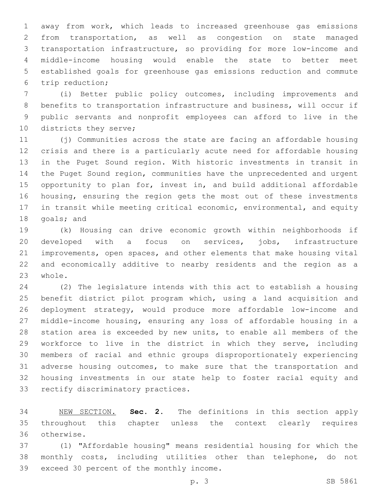away from work, which leads to increased greenhouse gas emissions from transportation, as well as congestion on state managed transportation infrastructure, so providing for more low-income and middle-income housing would enable the state to better meet established goals for greenhouse gas emissions reduction and commute trip reduction;6

 (i) Better public policy outcomes, including improvements and benefits to transportation infrastructure and business, will occur if public servants and nonprofit employees can afford to live in the 10 districts they serve;

 (j) Communities across the state are facing an affordable housing crisis and there is a particularly acute need for affordable housing in the Puget Sound region. With historic investments in transit in the Puget Sound region, communities have the unprecedented and urgent opportunity to plan for, invest in, and build additional affordable housing, ensuring the region gets the most out of these investments in transit while meeting critical economic, environmental, and equity 18 goals; and

 (k) Housing can drive economic growth within neighborhoods if developed with a focus on services, jobs, infrastructure improvements, open spaces, and other elements that make housing vital and economically additive to nearby residents and the region as a 23 whole.

 (2) The legislature intends with this act to establish a housing benefit district pilot program which, using a land acquisition and deployment strategy, would produce more affordable low-income and middle-income housing, ensuring any loss of affordable housing in a station area is exceeded by new units, to enable all members of the workforce to live in the district in which they serve, including members of racial and ethnic groups disproportionately experiencing adverse housing outcomes, to make sure that the transportation and housing investments in our state help to foster racial equity and 33 rectify discriminatory practices.

 NEW SECTION. **Sec. 2.** The definitions in this section apply throughout this chapter unless the context clearly requires otherwise.

 (1) "Affordable housing" means residential housing for which the monthly costs, including utilities other than telephone, do not 39 exceed 30 percent of the monthly income.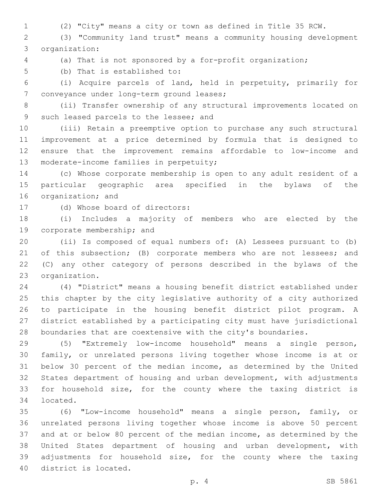(2) "City" means a city or town as defined in Title 35 RCW.

 (3) "Community land trust" means a community housing development organization:3

(a) That is not sponsored by a for-profit organization;

5 (b) That is established to:

 (i) Acquire parcels of land, held in perpetuity, primarily for 7 conveyance under long-term ground leases;

 (ii) Transfer ownership of any structural improvements located on 9 such leased parcels to the lessee; and

 (iii) Retain a preemptive option to purchase any such structural improvement at a price determined by formula that is designed to ensure that the improvement remains affordable to low-income and 13 moderate-income families in perpetuity;

 (c) Whose corporate membership is open to any adult resident of a particular geographic area specified in the bylaws of the 16 organization; and

17 (d) Whose board of directors:

 (i) Includes a majority of members who are elected by the 19 corporate membership; and

 (ii) Is composed of equal numbers of: (A) Lessees pursuant to (b) 21 of this subsection; (B) corporate members who are not lessees; and (C) any other category of persons described in the bylaws of the 23 organization.

 (4) "District" means a housing benefit district established under this chapter by the city legislative authority of a city authorized to participate in the housing benefit district pilot program. A district established by a participating city must have jurisdictional boundaries that are coextensive with the city's boundaries.

 (5) "Extremely low-income household" means a single person, family, or unrelated persons living together whose income is at or below 30 percent of the median income, as determined by the United States department of housing and urban development, with adjustments for household size, for the county where the taxing district is 34 located.

 (6) "Low-income household" means a single person, family, or unrelated persons living together whose income is above 50 percent and at or below 80 percent of the median income, as determined by the United States department of housing and urban development, with adjustments for household size, for the county where the taxing 40 district is located.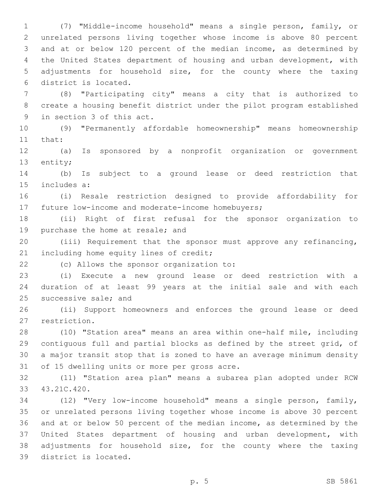(7) "Middle-income household" means a single person, family, or unrelated persons living together whose income is above 80 percent and at or below 120 percent of the median income, as determined by the United States department of housing and urban development, with adjustments for household size, for the county where the taxing district is located.6

 (8) "Participating city" means a city that is authorized to create a housing benefit district under the pilot program established 9 in section 3 of this act.

 (9) "Permanently affordable homeownership" means homeownership 11 that:

 (a) Is sponsored by a nonprofit organization or government 13 entity;

 (b) Is subject to a ground lease or deed restriction that 15 includes a:

 (i) Resale restriction designed to provide affordability for 17 future low-income and moderate-income homebuyers;

 (ii) Right of first refusal for the sponsor organization to 19 purchase the home at resale; and

 (iii) Requirement that the sponsor must approve any refinancing, 21 including home equity lines of credit;

(c) Allows the sponsor organization to:22

 (i) Execute a new ground lease or deed restriction with a duration of at least 99 years at the initial sale and with each 25 successive sale; and

 (ii) Support homeowners and enforces the ground lease or deed 27 restriction.

 (10) "Station area" means an area within one-half mile, including contiguous full and partial blocks as defined by the street grid, of a major transit stop that is zoned to have an average minimum density 31 of 15 dwelling units or more per gross acre.

 (11) "Station area plan" means a subarea plan adopted under RCW 43.21C.420.33

 (12) "Very low-income household" means a single person, family, or unrelated persons living together whose income is above 30 percent and at or below 50 percent of the median income, as determined by the United States department of housing and urban development, with adjustments for household size, for the county where the taxing 39 district is located.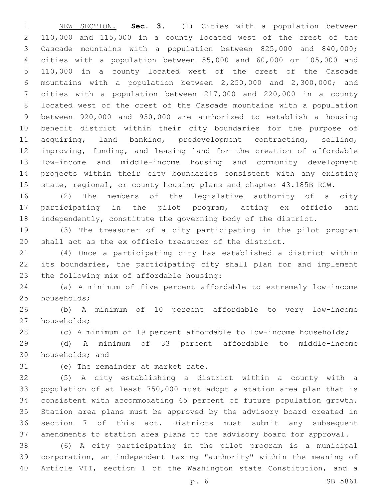NEW SECTION. **Sec. 3.** (1) Cities with a population between 110,000 and 115,000 in a county located west of the crest of the Cascade mountains with a population between 825,000 and 840,000; cities with a population between 55,000 and 60,000 or 105,000 and 110,000 in a county located west of the crest of the Cascade mountains with a population between 2,250,000 and 2,300,000; and cities with a population between 217,000 and 220,000 in a county located west of the crest of the Cascade mountains with a population between 920,000 and 930,000 are authorized to establish a housing benefit district within their city boundaries for the purpose of acquiring, land banking, predevelopment contracting, selling, improving, funding, and leasing land for the creation of affordable low-income and middle-income housing and community development projects within their city boundaries consistent with any existing 15 state, regional, or county housing plans and chapter 43.185B RCW.

 (2) The members of the legislative authority of a city participating in the pilot program, acting ex officio and independently, constitute the governing body of the district.

 (3) The treasurer of a city participating in the pilot program shall act as the ex officio treasurer of the district.

 (4) Once a participating city has established a district within its boundaries, the participating city shall plan for and implement 23 the following mix of affordable housing:

 (a) A minimum of five percent affordable to extremely low-income 25 households;

 (b) A minimum of 10 percent affordable to very low-income 27 households;

(c) A minimum of 19 percent affordable to low-income households;

 (d) A minimum of 33 percent affordable to middle-income 30 households; and

31 (e) The remainder at market rate.

 (5) A city establishing a district within a county with a population of at least 750,000 must adopt a station area plan that is consistent with accommodating 65 percent of future population growth. Station area plans must be approved by the advisory board created in section 7 of this act. Districts must submit any subsequent amendments to station area plans to the advisory board for approval.

 (6) A city participating in the pilot program is a municipal corporation, an independent taxing "authority" within the meaning of Article VII, section 1 of the Washington state Constitution, and a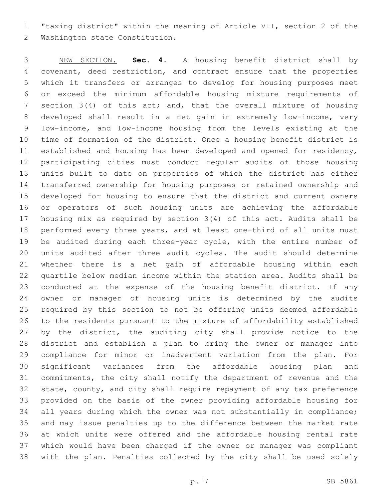"taxing district" within the meaning of Article VII, section 2 of the 2 Washington state Constitution.

 NEW SECTION. **Sec. 4.** A housing benefit district shall by covenant, deed restriction, and contract ensure that the properties which it transfers or arranges to develop for housing purposes meet or exceed the minimum affordable housing mixture requirements of section 3(4) of this act; and, that the overall mixture of housing developed shall result in a net gain in extremely low-income, very low-income, and low-income housing from the levels existing at the time of formation of the district. Once a housing benefit district is established and housing has been developed and opened for residency, participating cities must conduct regular audits of those housing units built to date on properties of which the district has either transferred ownership for housing purposes or retained ownership and developed for housing to ensure that the district and current owners or operators of such housing units are achieving the affordable housing mix as required by section 3(4) of this act. Audits shall be performed every three years, and at least one-third of all units must be audited during each three-year cycle, with the entire number of units audited after three audit cycles. The audit should determine whether there is a net gain of affordable housing within each quartile below median income within the station area. Audits shall be conducted at the expense of the housing benefit district. If any owner or manager of housing units is determined by the audits required by this section to not be offering units deemed affordable to the residents pursuant to the mixture of affordability established 27 by the district, the auditing city shall provide notice to the district and establish a plan to bring the owner or manager into compliance for minor or inadvertent variation from the plan. For significant variances from the affordable housing plan and commitments, the city shall notify the department of revenue and the state, county, and city shall require repayment of any tax preference provided on the basis of the owner providing affordable housing for all years during which the owner was not substantially in compliance; and may issue penalties up to the difference between the market rate at which units were offered and the affordable housing rental rate which would have been charged if the owner or manager was compliant with the plan. Penalties collected by the city shall be used solely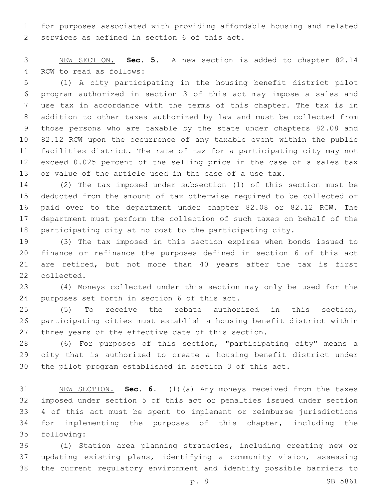for purposes associated with providing affordable housing and related 2 services as defined in section 6 of this act.

 NEW SECTION. **Sec. 5.** A new section is added to chapter 82.14 4 RCW to read as follows:

 (1) A city participating in the housing benefit district pilot program authorized in section 3 of this act may impose a sales and use tax in accordance with the terms of this chapter. The tax is in addition to other taxes authorized by law and must be collected from those persons who are taxable by the state under chapters 82.08 and 82.12 RCW upon the occurrence of any taxable event within the public facilities district. The rate of tax for a participating city may not exceed 0.025 percent of the selling price in the case of a sales tax or value of the article used in the case of a use tax.

 (2) The tax imposed under subsection (1) of this section must be deducted from the amount of tax otherwise required to be collected or paid over to the department under chapter 82.08 or 82.12 RCW. The department must perform the collection of such taxes on behalf of the participating city at no cost to the participating city.

 (3) The tax imposed in this section expires when bonds issued to finance or refinance the purposes defined in section 6 of this act are retired, but not more than 40 years after the tax is first 22 collected.

 (4) Moneys collected under this section may only be used for the 24 purposes set forth in section 6 of this act.

 (5) To receive the rebate authorized in this section, participating cities must establish a housing benefit district within three years of the effective date of this section.

 (6) For purposes of this section, "participating city" means a city that is authorized to create a housing benefit district under the pilot program established in section 3 of this act.

 NEW SECTION. **Sec. 6.** (1)(a) Any moneys received from the taxes imposed under section 5 of this act or penalties issued under section 4 of this act must be spent to implement or reimburse jurisdictions for implementing the purposes of this chapter, including the following:

 (i) Station area planning strategies, including creating new or updating existing plans, identifying a community vision, assessing the current regulatory environment and identify possible barriers to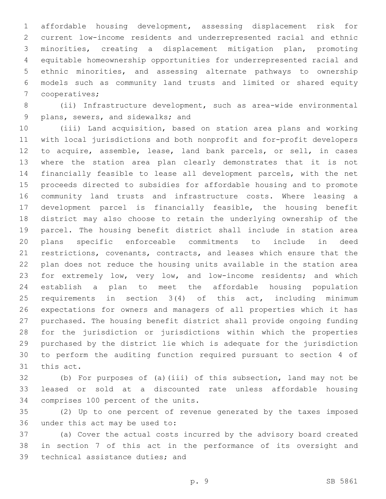affordable housing development, assessing displacement risk for current low-income residents and underrepresented racial and ethnic minorities, creating a displacement mitigation plan, promoting equitable homeownership opportunities for underrepresented racial and ethnic minorities, and assessing alternate pathways to ownership models such as community land trusts and limited or shared equity 7 cooperatives;

 (ii) Infrastructure development, such as area-wide environmental 9 plans, sewers, and sidewalks; and

 (iii) Land acquisition, based on station area plans and working with local jurisdictions and both nonprofit and for-profit developers to acquire, assemble, lease, land bank parcels, or sell, in cases where the station area plan clearly demonstrates that it is not financially feasible to lease all development parcels, with the net proceeds directed to subsidies for affordable housing and to promote community land trusts and infrastructure costs. Where leasing a development parcel is financially feasible, the housing benefit district may also choose to retain the underlying ownership of the parcel. The housing benefit district shall include in station area plans specific enforceable commitments to include in deed restrictions, covenants, contracts, and leases which ensure that the plan does not reduce the housing units available in the station area for extremely low, very low, and low-income residents; and which establish a plan to meet the affordable housing population requirements in section 3(4) of this act, including minimum expectations for owners and managers of all properties which it has purchased. The housing benefit district shall provide ongoing funding for the jurisdiction or jurisdictions within which the properties purchased by the district lie which is adequate for the jurisdiction to perform the auditing function required pursuant to section 4 of 31 this act.

 (b) For purposes of (a)(iii) of this subsection, land may not be leased or sold at a discounted rate unless affordable housing 34 comprises 100 percent of the units.

 (2) Up to one percent of revenue generated by the taxes imposed 36 under this act may be used to:

 (a) Cover the actual costs incurred by the advisory board created in section 7 of this act in the performance of its oversight and 39 technical assistance duties; and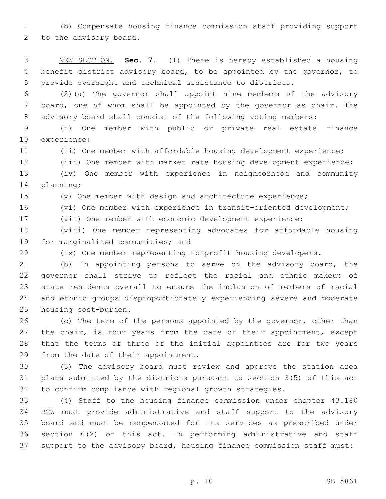(b) Compensate housing finance commission staff providing support 2 to the advisory board.

 NEW SECTION. **Sec. 7.** (1) There is hereby established a housing benefit district advisory board, to be appointed by the governor, to provide oversight and technical assistance to districts.

 (2)(a) The governor shall appoint nine members of the advisory board, one of whom shall be appointed by the governor as chair. The advisory board shall consist of the following voting members:

 (i) One member with public or private real estate finance 10 experience;

(ii) One member with affordable housing development experience;

(iii) One member with market rate housing development experience;

 (iv) One member with experience in neighborhood and community 14 planning;

(v) One member with design and architecture experience;

(vi) One member with experience in transit-oriented development;

(vii) One member with economic development experience;

 (viii) One member representing advocates for affordable housing 19 for marginalized communities; and

(ix) One member representing nonprofit housing developers.

 (b) In appointing persons to serve on the advisory board, the governor shall strive to reflect the racial and ethnic makeup of state residents overall to ensure the inclusion of members of racial and ethnic groups disproportionately experiencing severe and moderate 25 housing cost-burden.

26 (c) The term of the persons appointed by the governor, other than 27 the chair, is four years from the date of their appointment, except that the terms of three of the initial appointees are for two years 29 from the date of their appointment.

 (3) The advisory board must review and approve the station area plans submitted by the districts pursuant to section 3(5) of this act to confirm compliance with regional growth strategies.

 (4) Staff to the housing finance commission under chapter 43.180 RCW must provide administrative and staff support to the advisory board and must be compensated for its services as prescribed under section 6(2) of this act. In performing administrative and staff support to the advisory board, housing finance commission staff must: